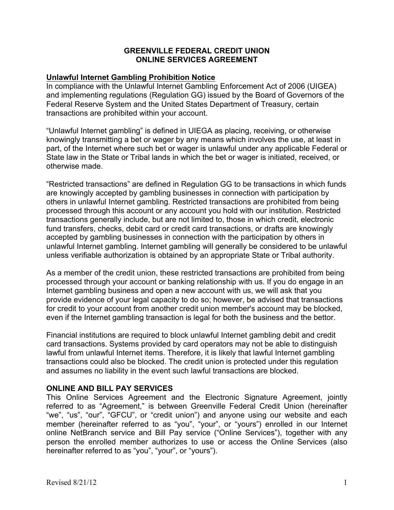### **GREENVILLE FEDERAL CREDIT UNION ONLINE SERVICES AGREEMENT**

#### **Unlawful Internet Gambling Prohibition Notice**

In compliance with the Unlawful Internet Gambling Enforcement Act of 2006 (UIGEA) and implementing regulations (Regulation GG) issued by the Board of Governors of the Federal Reserve System and the United States Department of Treasury, certain transactions are prohibited within your account.

"Unlawful Internet gambling" is defined in UIEGA as placing, receiving, or otherwise knowingly transmitting a bet or wager by any means which involves the use, at least in part, of the Internet where such bet or wager is unlawful under any applicable Federal or State law in the State or Tribal lands in which the bet or wager is initiated, received, or otherwise made.

"Restricted transactions" are defined in Regulation GG to be transactions in which funds are knowingly accepted by gambling businesses in connection with participation by others in unlawful Internet gambling. Restricted transactions are prohibited from being processed through this account or any account you hold with our institution. Restricted transactions generally include, but are not limited to, those in which credit, electronic fund transfers, checks, debit card or credit card transactions, or drafts are knowingly accepted by gambling businesses in connection with the participation by others in unlawful Internet gambling. Internet gambling will generally be considered to be unlawful unless verifiable authorization is obtained by an appropriate State or Tribal authority.

As a member of the credit union, these restricted transactions are prohibited from being processed through your account or banking relationship with us. If you do engage in an Internet gambling business and open a new account with us, we will ask that you provide evidence of your legal capacity to do so; however, be advised that transactions for credit to your account from another credit union member's account may be blocked, even if the Internet gambling transaction is legal for both the business and the bettor.

Financial institutions are required to block unlawful Internet gambling debit and credit card transactions. Systems provided by card operators may not be able to distinguish lawful from unlawful Internet items. Therefore, it is likely that lawful Internet gambling transactions could also be blocked. The credit union is protected under this regulation and assumes no liability in the event such lawful transactions are blocked.

### **ONLINE AND BILL PAY SERVICES**

This Online Services Agreement and the Electronic Signature Agreement, jointly referred to as "Agreement," is between Greenville Federal Credit Union (hereinafter "we", "us", "our", "GFCU", or "credit union") and anyone using our website and each member (hereinafter referred to as "you", "your", or "yours") enrolled in our Internet online NetBranch service and Bill Pay service ("Online Services"), together with any person the enrolled member authorizes to use or access the Online Services (also hereinafter referred to as "you", "your", or "yours").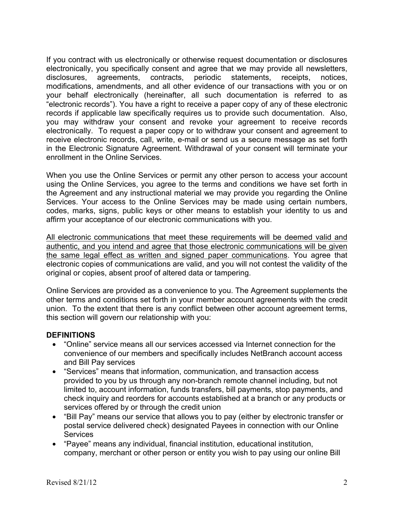If you contract with us electronically or otherwise request documentation or disclosures electronically, you specifically consent and agree that we may provide all newsletters, disclosures, agreements, contracts, periodic statements, receipts, notices, modifications, amendments, and all other evidence of our transactions with you or on your behalf electronically (hereinafter, all such documentation is referred to as "electronic records"). You have a right to receive a paper copy of any of these electronic records if applicable law specifically requires us to provide such documentation. Also, you may withdraw your consent and revoke your agreement to receive records electronically. To request a paper copy or to withdraw your consent and agreement to receive electronic records, call, write, e-mail or send us a secure message as set forth in the Electronic Signature Agreement. Withdrawal of your consent will terminate your enrollment in the Online Services.

When you use the Online Services or permit any other person to access your account using the Online Services, you agree to the terms and conditions we have set forth in the Agreement and any instructional material we may provide you regarding the Online Services. Your access to the Online Services may be made using certain numbers, codes, marks, signs, public keys or other means to establish your identity to us and affirm your acceptance of our electronic communications with you.

All electronic communications that meet these requirements will be deemed valid and authentic, and you intend and agree that those electronic communications will be given the same legal effect as written and signed paper communications. You agree that electronic copies of communications are valid, and you will not contest the validity of the original or copies, absent proof of altered data or tampering.

Online Services are provided as a convenience to you. The Agreement supplements the other terms and conditions set forth in your member account agreements with the credit union. To the extent that there is any conflict between other account agreement terms, this section will govern our relationship with you:

# **DEFINITIONS**

- "Online" service means all our services accessed via Internet connection for the convenience of our members and specifically includes NetBranch account access and Bill Pay services
- "Services" means that information, communication, and transaction access provided to you by us through any non-branch remote channel including, but not limited to, account information, funds transfers, bill payments, stop payments, and check inquiry and reorders for accounts established at a branch or any products or services offered by or through the credit union
- "Bill Pay" means our service that allows you to pay (either by electronic transfer or postal service delivered check) designated Payees in connection with our Online **Services**
- "Payee" means any individual, financial institution, educational institution, company, merchant or other person or entity you wish to pay using our online Bill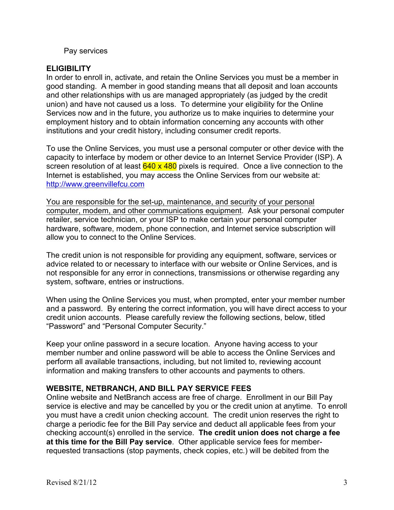#### Pay services

### **ELIGIBILITY**

In order to enroll in, activate, and retain the Online Services you must be a member in good standing. A member in good standing means that all deposit and loan accounts and other relationships with us are managed appropriately (as judged by the credit union) and have not caused us a loss. To determine your eligibility for the Online Services now and in the future, you authorize us to make inquiries to determine your employment history and to obtain information concerning any accounts with other institutions and your credit history, including consumer credit reports.

To use the Online Services, you must use a personal computer or other device with the capacity to interface by modem or other device to an Internet Service Provider (ISP). A screen resolution of at least  $640 \times 480$  pixels is required. Once a live connection to the Internet is established, you may access the Online Services from our website at: http://www.greenvillefcu.com

You are responsible for the set-up, maintenance, and security of your personal computer, modem, and other communications equipment. Ask your personal computer retailer, service technician, or your ISP to make certain your personal computer hardware, software, modem, phone connection, and Internet service subscription will allow you to connect to the Online Services.

The credit union is not responsible for providing any equipment, software, services or advice related to or necessary to interface with our website or Online Services, and is not responsible for any error in connections, transmissions or otherwise regarding any system, software, entries or instructions.

When using the Online Services you must, when prompted, enter your member number and a password. By entering the correct information, you will have direct access to your credit union accounts. Please carefully review the following sections, below, titled "Password" and "Personal Computer Security."

Keep your online password in a secure location. Anyone having access to your member number and online password will be able to access the Online Services and perform all available transactions, including, but not limited to, reviewing account information and making transfers to other accounts and payments to others.

### **WEBSITE, NETBRANCH, AND BILL PAY SERVICE FEES**

Online website and NetBranch access are free of charge. Enrollment in our Bill Pay service is elective and may be cancelled by you or the credit union at anytime. To enroll you must have a credit union checking account. The credit union reserves the right to charge a periodic fee for the Bill Pay service and deduct all applicable fees from your checking account(s) enrolled in the service. **The credit union does not charge a fee at this time for the Bill Pay service**. Other applicable service fees for memberrequested transactions (stop payments, check copies, etc.) will be debited from the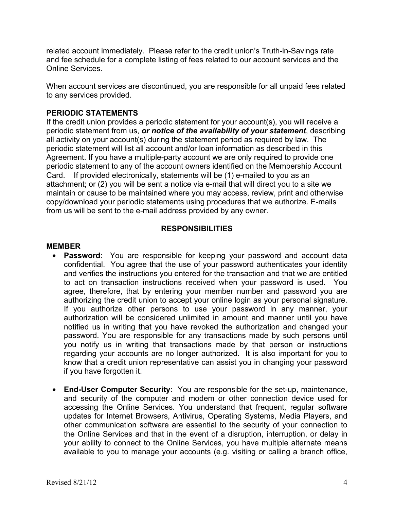related account immediately. Please refer to the credit union's Truth-in-Savings rate and fee schedule for a complete listing of fees related to our account services and the Online Services.

When account services are discontinued, you are responsible for all unpaid fees related to any services provided.

# **PERIODIC STATEMENTS**

If the credit union provides a periodic statement for your account(s), you will receive a periodic statement from us, *or notice of the availability of your statement*, describing all activity on your account(s) during the statement period as required by law. The periodic statement will list all account and/or loan information as described in this Agreement. If you have a multiple-party account we are only required to provide one periodic statement to any of the account owners identified on the Membership Account Card. If provided electronically, statements will be (1) e-mailed to you as an attachment; or (2) you will be sent a notice via e-mail that will direct you to a site we maintain or cause to be maintained where you may access, review, print and otherwise copy/download your periodic statements using procedures that we authorize. E-mails from us will be sent to the e-mail address provided by any owner.

# **RESPONSIBILITIES**

# **MEMBER**

- **Password**: You are responsible for keeping your password and account data confidential. You agree that the use of your password authenticates your identity and verifies the instructions you entered for the transaction and that we are entitled to act on transaction instructions received when your password is used. You agree, therefore, that by entering your member number and password you are authorizing the credit union to accept your online login as your personal signature. If you authorize other persons to use your password in any manner, your authorization will be considered unlimited in amount and manner until you have notified us in writing that you have revoked the authorization and changed your password. You are responsible for any transactions made by such persons until you notify us in writing that transactions made by that person or instructions regarding your accounts are no longer authorized. It is also important for you to know that a credit union representative can assist you in changing your password if you have forgotten it.
- **End-User Computer Security**: You are responsible for the set-up, maintenance, and security of the computer and modem or other connection device used for accessing the Online Services. You understand that frequent, regular software updates for Internet Browsers, Antivirus, Operating Systems, Media Players, and other communication software are essential to the security of your connection to the Online Services and that in the event of a disruption, interruption, or delay in your ability to connect to the Online Services, you have multiple alternate means available to you to manage your accounts (e.g. visiting or calling a branch office,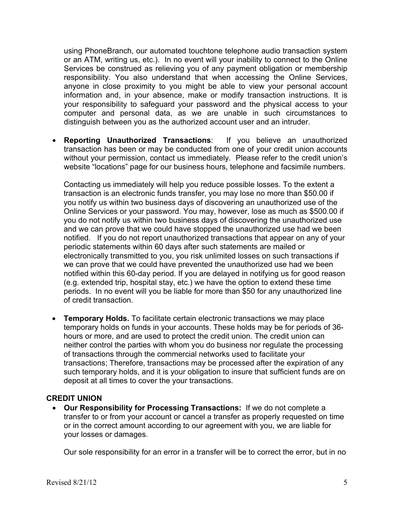using PhoneBranch, our automated touchtone telephone audio transaction system or an ATM, writing us, etc.). In no event will your inability to connect to the Online Services be construed as relieving you of any payment obligation or membership responsibility. You also understand that when accessing the Online Services, anyone in close proximity to you might be able to view your personal account information and, in your absence, make or modify transaction instructions. It is your responsibility to safeguard your password and the physical access to your computer and personal data, as we are unable in such circumstances to distinguish between you as the authorized account user and an intruder.

• **Reporting Unauthorized Transactions**: If you believe an unauthorized transaction has been or may be conducted from one of your credit union accounts without your permission, contact us immediately. Please refer to the credit union's website "locations" page for our business hours, telephone and facsimile numbers.

Contacting us immediately will help you reduce possible losses. To the extent a transaction is an electronic funds transfer, you may lose no more than \$50.00 if you notify us within two business days of discovering an unauthorized use of the Online Services or your password. You may, however, lose as much as \$500.00 if you do not notify us within two business days of discovering the unauthorized use and we can prove that we could have stopped the unauthorized use had we been notified. If you do not report unauthorized transactions that appear on any of your periodic statements within 60 days after such statements are mailed or electronically transmitted to you, you risk unlimited losses on such transactions if we can prove that we could have prevented the unauthorized use had we been notified within this 60-day period. If you are delayed in notifying us for good reason (e.g. extended trip, hospital stay, etc.) we have the option to extend these time periods. In no event will you be liable for more than \$50 for any unauthorized line of credit transaction.

• **Temporary Holds.** To facilitate certain electronic transactions we may place temporary holds on funds in your accounts. These holds may be for periods of 36 hours or more, and are used to protect the credit union. The credit union can neither control the parties with whom you do business nor regulate the processing of transactions through the commercial networks used to facilitate your transactions; Therefore, transactions may be processed after the expiration of any such temporary holds, and it is your obligation to insure that sufficient funds are on deposit at all times to cover the your transactions.

### **CREDIT UNION**

• **Our Responsibility for Processing Transactions:** If we do not complete a transfer to or from your account or cancel a transfer as properly requested on time or in the correct amount according to our agreement with you, we are liable for your losses or damages.

Our sole responsibility for an error in a transfer will be to correct the error, but in no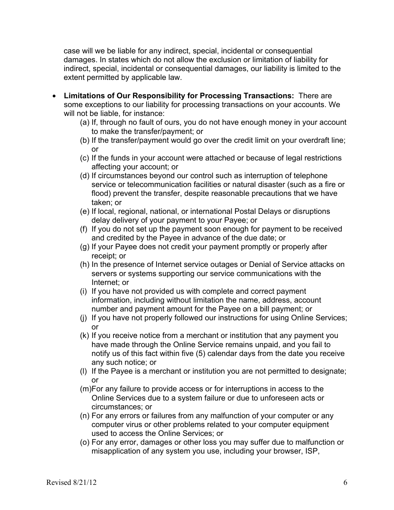case will we be liable for any indirect, special, incidental or consequential damages. In states which do not allow the exclusion or limitation of liability for indirect, special, incidental or consequential damages, our liability is limited to the extent permitted by applicable law.

- **Limitations of Our Responsibility for Processing Transactions:** There are some exceptions to our liability for processing transactions on your accounts. We will not be liable, for instance:
	- (a) If, through no fault of ours, you do not have enough money in your account to make the transfer/payment; or
	- (b) If the transfer/payment would go over the credit limit on your overdraft line; or
	- (c) If the funds in your account were attached or because of legal restrictions affecting your account; or
	- (d) If circumstances beyond our control such as interruption of telephone service or telecommunication facilities or natural disaster (such as a fire or flood) prevent the transfer, despite reasonable precautions that we have taken; or
	- (e) If local, regional, national, or international Postal Delays or disruptions delay delivery of your payment to your Payee; or
	- (f) If you do not set up the payment soon enough for payment to be received and credited by the Payee in advance of the due date; or
	- (g) If your Payee does not credit your payment promptly or properly after receipt; or
	- (h) In the presence of Internet service outages or Denial of Service attacks on servers or systems supporting our service communications with the Internet; or
	- (i) If you have not provided us with complete and correct payment information, including without limitation the name, address, account number and payment amount for the Payee on a bill payment; or
	- (j) If you have not properly followed our instructions for using Online Services; or
	- (k) If you receive notice from a merchant or institution that any payment you have made through the Online Service remains unpaid, and you fail to notify us of this fact within five (5) calendar days from the date you receive any such notice; or
	- (l) If the Payee is a merchant or institution you are not permitted to designate; or
	- (m)For any failure to provide access or for interruptions in access to the Online Services due to a system failure or due to unforeseen acts or circumstances; or
	- (n) For any errors or failures from any malfunction of your computer or any computer virus or other problems related to your computer equipment used to access the Online Services; or
	- (o) For any error, damages or other loss you may suffer due to malfunction or misapplication of any system you use, including your browser, ISP,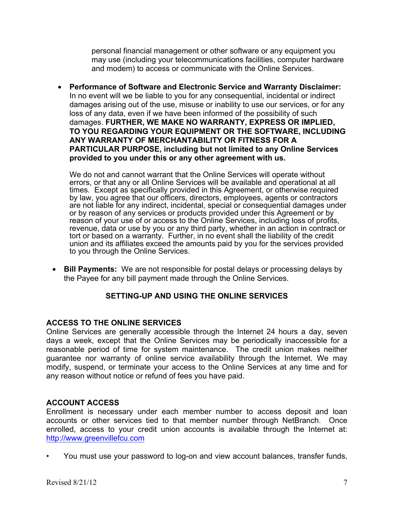personal financial management or other software or any equipment you may use (including your telecommunications facilities, computer hardware and modem) to access or communicate with the Online Services.

• **Performance of Software and Electronic Service and Warranty Disclaimer:**  In no event will we be liable to you for any consequential, incidental or indirect damages arising out of the use, misuse or inability to use our services, or for any loss of any data, even if we have been informed of the possibility of such damages. **FURTHER, WE MAKE NO WARRANTY, EXPRESS OR IMPLIED, TO YOU REGARDING YOUR EQUIPMENT OR THE SOFTWARE, INCLUDING ANY WARRANTY OF MERCHANTABILITY OR FITNESS FOR A PARTICULAR PURPOSE, including but not limited to any Online Services provided to you under this or any other agreement with us.**

We do not and cannot warrant that the Online Services will operate without errors, or that any or all Online Services will be available and operational at all times. Except as specifically provided in this Agreement, or otherwise required by law, you agree that our officers, directors, employees, agents or contractors are not liable for any indirect, incidental, special or consequential damages under or by reason of any services or products provided under this Agreement or by reason of your use of or access to the Online Services, including loss of profits, revenue, data or use by you or any third party, whether in an action in contract or tort or based on a warranty. Further, in no event shall the liability of the credit union and its affiliates exceed the amounts paid by you for the services provided to you through the Online Services.

• **Bill Payments:** We are not responsible for postal delays or processing delays by the Payee for any bill payment made through the Online Services.

# **SETTING-UP AND USING THE ONLINE SERVICES**

# **ACCESS TO THE ONLINE SERVICES**

Online Services are generally accessible through the Internet 24 hours a day, seven days a week, except that the Online Services may be periodically inaccessible for a reasonable period of time for system maintenance. The credit union makes neither guarantee nor warranty of online service availability through the Internet. We may modify, suspend, or terminate your access to the Online Services at any time and for any reason without notice or refund of fees you have paid.

### **ACCOUNT ACCESS**

Enrollment is necessary under each member number to access deposit and loan accounts or other services tied to that member number through NetBranch. Once enrolled, access to your credit union accounts is available through the Internet at: http://www.greenvillefcu.com

• You must use your password to log-on and view account balances, transfer funds,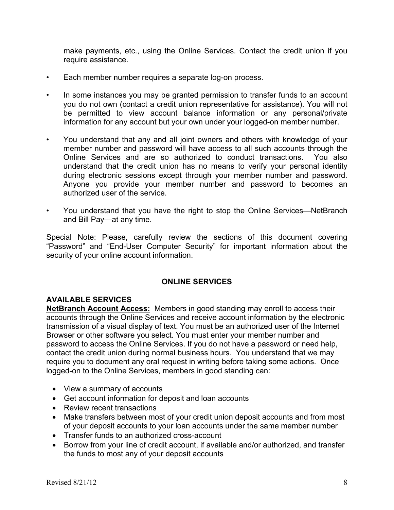make payments, etc., using the Online Services. Contact the credit union if you require assistance.

- Each member number requires a separate log-on process.
- In some instances you may be granted permission to transfer funds to an account you do not own (contact a credit union representative for assistance). You will not be permitted to view account balance information or any personal/private information for any account but your own under your logged-on member number.
- You understand that any and all joint owners and others with knowledge of your member number and password will have access to all such accounts through the Online Services and are so authorized to conduct transactions. You also understand that the credit union has no means to verify your personal identity during electronic sessions except through your member number and password. Anyone you provide your member number and password to becomes an authorized user of the service.
- You understand that you have the right to stop the Online Services—NetBranch and Bill Pay—at any time.

Special Note: Please, carefully review the sections of this document covering "Password" and "End-User Computer Security" for important information about the security of your online account information.

### **ONLINE SERVICES**

### **AVAILABLE SERVICES**

**NetBranch Account Access:** Members in good standing may enroll to access their accounts through the Online Services and receive account information by the electronic transmission of a visual display of text. You must be an authorized user of the Internet Browser or other software you select. You must enter your member number and password to access the Online Services. If you do not have a password or need help, contact the credit union during normal business hours. You understand that we may require you to document any oral request in writing before taking some actions. Once logged-on to the Online Services, members in good standing can:

- View a summary of accounts
- Get account information for deposit and loan accounts
- Review recent transactions
- Make transfers between most of your credit union deposit accounts and from most of your deposit accounts to your loan accounts under the same member number
- Transfer funds to an authorized cross-account
- Borrow from your line of credit account, if available and/or authorized, and transfer the funds to most any of your deposit accounts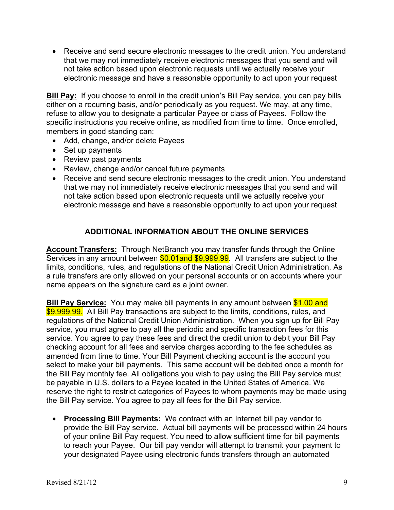• Receive and send secure electronic messages to the credit union. You understand that we may not immediately receive electronic messages that you send and will not take action based upon electronic requests until we actually receive your electronic message and have a reasonable opportunity to act upon your request

**Bill Pay:** If you choose to enroll in the credit union's Bill Pay service, you can pay bills either on a recurring basis, and/or periodically as you request. We may, at any time, refuse to allow you to designate a particular Payee or class of Payees. Follow the specific instructions you receive online, as modified from time to time. Once enrolled, members in good standing can:

- Add, change, and/or delete Payees
- Set up payments
- Review past payments
- Review, change and/or cancel future payments
- Receive and send secure electronic messages to the credit union. You understand that we may not immediately receive electronic messages that you send and will not take action based upon electronic requests until we actually receive your electronic message and have a reasonable opportunity to act upon your request

# **ADDITIONAL INFORMATION ABOUT THE ONLINE SERVICES**

**Account Transfers:** Through NetBranch you may transfer funds through the Online Services in any amount between \$0.01and \$9,999.99. All transfers are subject to the limits, conditions, rules, and regulations of the National Credit Union Administration. As a rule transfers are only allowed on your personal accounts or on accounts where your name appears on the signature card as a joint owner.

**Bill Pay Service:** You may make bill payments in any amount between \$1.00 and \$9,999.99. All Bill Pay transactions are subject to the limits, conditions, rules, and regulations of the National Credit Union Administration. When you sign up for Bill Pay service, you must agree to pay all the periodic and specific transaction fees for this service. You agree to pay these fees and direct the credit union to debit your Bill Pay checking account for all fees and service charges according to the fee schedules as amended from time to time. Your Bill Payment checking account is the account you select to make your bill payments. This same account will be debited once a month for the Bill Pay monthly fee. All obligations you wish to pay using the Bill Pay service must be payable in U.S. dollars to a Payee located in the United States of America. We reserve the right to restrict categories of Payees to whom payments may be made using the Bill Pay service. You agree to pay all fees for the Bill Pay service.

• **Processing Bill Payments:** We contract with an Internet bill pay vendor to provide the Bill Pay service. Actual bill payments will be processed within 24 hours of your online Bill Pay request. You need to allow sufficient time for bill payments to reach your Payee. Our bill pay vendor will attempt to transmit your payment to your designated Payee using electronic funds transfers through an automated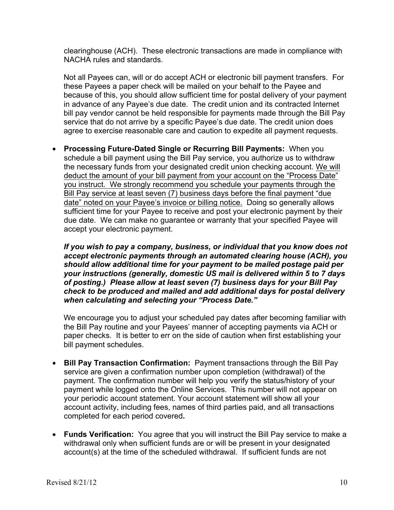clearinghouse (ACH). These electronic transactions are made in compliance with NACHA rules and standards.

Not all Payees can, will or do accept ACH or electronic bill payment transfers. For these Payees a paper check will be mailed on your behalf to the Payee and because of this, you should allow sufficient time for postal delivery of your payment in advance of any Payee's due date. The credit union and its contracted Internet bill pay vendor cannot be held responsible for payments made through the Bill Pay service that do not arrive by a specific Payee's due date. The credit union does agree to exercise reasonable care and caution to expedite all payment requests.

• **Processing Future-Dated Single or Recurring Bill Payments:** When you schedule a bill payment using the Bill Pay service, you authorize us to withdraw the necessary funds from your designated credit union checking account. We will deduct the amount of your bill payment from your account on the "Process Date" you instruct. We strongly recommend you schedule your payments through the Bill Pay service at least seven (7) business days before the final payment "due date" noted on your Payee's invoice or billing notice. Doing so generally allows sufficient time for your Payee to receive and post your electronic payment by their due date. We can make no guarantee or warranty that your specified Payee will accept your electronic payment.

*If you wish to pay a company, business, or individual that you know does not accept electronic payments through an automated clearing house (ACH), you should allow additional time for your payment to be mailed postage paid per your instructions (generally, domestic US mail is delivered within 5 to 7 days of posting.) Please allow at least seven (7) business days for your Bill Pay check to be produced and mailed and add additional days for postal delivery when calculating and selecting your "Process Date."*

We encourage you to adjust your scheduled pay dates after becoming familiar with the Bill Pay routine and your Payees' manner of accepting payments via ACH or paper checks. It is better to err on the side of caution when first establishing your bill payment schedules.

- **Bill Pay Transaction Confirmation:** Payment transactions through the Bill Pay service are given a confirmation number upon completion (withdrawal) of the payment. The confirmation number will help you verify the status/history of your payment while logged onto the Online Services. This number will not appear on your periodic account statement. Your account statement will show all your account activity, including fees, names of third parties paid, and all transactions completed for each period covered**.**
- **Funds Verification:** You agree that you will instruct the Bill Pay service to make a withdrawal only when sufficient funds are or will be present in your designated account(s) at the time of the scheduled withdrawal. If sufficient funds are not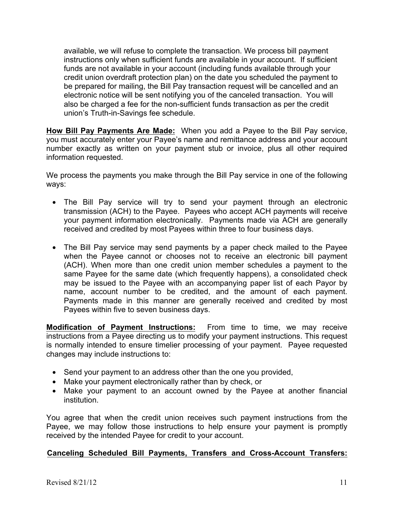available, we will refuse to complete the transaction. We process bill payment instructions only when sufficient funds are available in your account. If sufficient funds are not available in your account (including funds available through your credit union overdraft protection plan) on the date you scheduled the payment to be prepared for mailing, the Bill Pay transaction request will be cancelled and an electronic notice will be sent notifying you of the canceled transaction. You will also be charged a fee for the non-sufficient funds transaction as per the credit union's Truth-in-Savings fee schedule.

**How Bill Pay Payments Are Made:** When you add a Payee to the Bill Pay service, you must accurately enter your Payee's name and remittance address and your account number exactly as written on your payment stub or invoice, plus all other required information requested.

We process the payments you make through the Bill Pay service in one of the following ways:

- The Bill Pay service will try to send your payment through an electronic transmission (ACH) to the Payee. Payees who accept ACH payments will receive your payment information electronically. Payments made via ACH are generally received and credited by most Payees within three to four business days.
- The Bill Pay service may send payments by a paper check mailed to the Payee when the Payee cannot or chooses not to receive an electronic bill payment (ACH). When more than one credit union member schedules a payment to the same Payee for the same date (which frequently happens), a consolidated check may be issued to the Payee with an accompanying paper list of each Payor by name, account number to be credited, and the amount of each payment. Payments made in this manner are generally received and credited by most Payees within five to seven business days.

**Modification of Payment Instructions:** From time to time, we may receive instructions from a Payee directing us to modify your payment instructions. This request is normally intended to ensure timelier processing of your payment. Payee requested changes may include instructions to:

- Send your payment to an address other than the one you provided,
- Make your payment electronically rather than by check, or
- Make your payment to an account owned by the Payee at another financial institution.

You agree that when the credit union receives such payment instructions from the Payee, we may follow those instructions to help ensure your payment is promptly received by the intended Payee for credit to your account.

# **Canceling Scheduled Bill Payments, Transfers and Cross-Account Transfers:**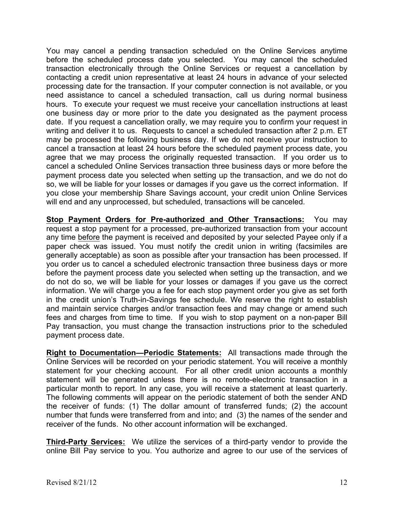You may cancel a pending transaction scheduled on the Online Services anytime before the scheduled process date you selected. You may cancel the scheduled transaction electronically through the Online Services or request a cancellation by contacting a credit union representative at least 24 hours in advance of your selected processing date for the transaction. If your computer connection is not available, or you need assistance to cancel a scheduled transaction, call us during normal business hours. To execute your request we must receive your cancellation instructions at least one business day or more prior to the date you designated as the payment process date. If you request a cancellation orally, we may require you to confirm your request in writing and deliver it to us. Requests to cancel a scheduled transaction after 2 p.m. ET may be processed the following business day. If we do not receive your instruction to cancel a transaction at least 24 hours before the scheduled payment process date, you agree that we may process the originally requested transaction. If you order us to cancel a scheduled Online Services transaction three business days or more before the payment process date you selected when setting up the transaction, and we do not do so, we will be liable for your losses or damages if you gave us the correct information. If you close your membership Share Savings account, your credit union Online Services will end and any unprocessed, but scheduled, transactions will be canceled.

**Stop Payment Orders for Pre-authorized and Other Transactions:** You may request a stop payment for a processed, pre-authorized transaction from your account any time before the payment is received and deposited by your selected Payee only if a paper check was issued. You must notify the credit union in writing (facsimiles are generally acceptable) as soon as possible after your transaction has been processed. If you order us to cancel a scheduled electronic transaction three business days or more before the payment process date you selected when setting up the transaction, and we do not do so, we will be liable for your losses or damages if you gave us the correct information. We will charge you a fee for each stop payment order you give as set forth in the credit union's Truth-in-Savings fee schedule. We reserve the right to establish and maintain service charges and/or transaction fees and may change or amend such fees and charges from time to time. If you wish to stop payment on a non-paper Bill Pay transaction, you must change the transaction instructions prior to the scheduled payment process date.

**Right to Documentation—Periodic Statements:** All transactions made through the Online Services will be recorded on your periodic statement. You will receive a monthly statement for your checking account. For all other credit union accounts a monthly statement will be generated unless there is no remote-electronic transaction in a particular month to report. In any case, you will receive a statement at least quarterly. The following comments will appear on the periodic statement of both the sender AND the receiver of funds: (1) The dollar amount of transferred funds; (2) the account number that funds were transferred from and into; and (3) the names of the sender and receiver of the funds. No other account information will be exchanged.

**Third-Party Services:** We utilize the services of a third-party vendor to provide the online Bill Pay service to you. You authorize and agree to our use of the services of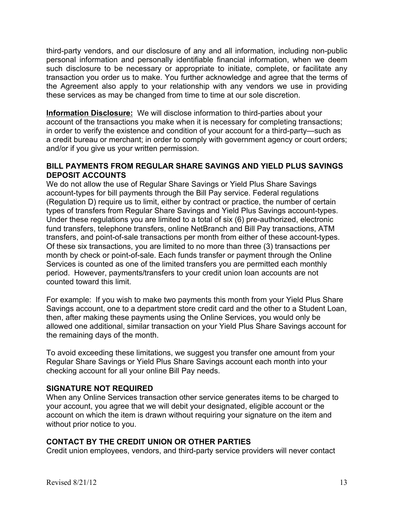third-party vendors, and our disclosure of any and all information, including non-public personal information and personally identifiable financial information, when we deem such disclosure to be necessary or appropriate to initiate, complete, or facilitate any transaction you order us to make. You further acknowledge and agree that the terms of the Agreement also apply to your relationship with any vendors we use in providing these services as may be changed from time to time at our sole discretion.

**Information Disclosure:** We will disclose information to third-parties about your account of the transactions you make when it is necessary for completing transactions; in order to verify the existence and condition of your account for a third-party—such as a credit bureau or merchant; in order to comply with government agency or court orders; and/or if you give us your written permission.

### **BILL PAYMENTS FROM REGULAR SHARE SAVINGS AND YIELD PLUS SAVINGS DEPOSIT ACCOUNTS**

We do not allow the use of Regular Share Savings or Yield Plus Share Savings account-types for bill payments through the Bill Pay service. Federal regulations (Regulation D) require us to limit, either by contract or practice, the number of certain types of transfers from Regular Share Savings and Yield Plus Savings account-types. Under these regulations you are limited to a total of six (6) pre-authorized, electronic fund transfers, telephone transfers, online NetBranch and Bill Pay transactions, ATM transfers, and point-of-sale transactions per month from either of these account-types. Of these six transactions, you are limited to no more than three (3) transactions per month by check or point-of-sale. Each funds transfer or payment through the Online Services is counted as one of the limited transfers you are permitted each monthly period. However, payments/transfers to your credit union loan accounts are not counted toward this limit.

For example: If you wish to make two payments this month from your Yield Plus Share Savings account, one to a department store credit card and the other to a Student Loan, then, after making these payments using the Online Services, you would only be allowed one additional, similar transaction on your Yield Plus Share Savings account for the remaining days of the month.

To avoid exceeding these limitations, we suggest you transfer one amount from your Regular Share Savings or Yield Plus Share Savings account each month into your checking account for all your online Bill Pay needs.

# **SIGNATURE NOT REQUIRED**

When any Online Services transaction other service generates items to be charged to your account, you agree that we will debit your designated, eligible account or the account on which the item is drawn without requiring your signature on the item and without prior notice to you.

# **CONTACT BY THE CREDIT UNION OR OTHER PARTIES**

Credit union employees, vendors, and third-party service providers will never contact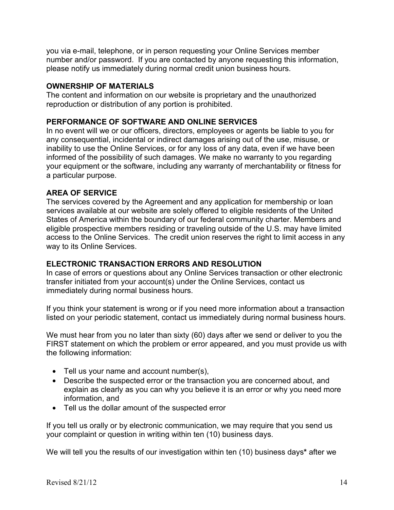you via e-mail, telephone, or in person requesting your Online Services member number and/or password. If you are contacted by anyone requesting this information, please notify us immediately during normal credit union business hours.

### **OWNERSHIP OF MATERIALS**

The content and information on our website is proprietary and the unauthorized reproduction or distribution of any portion is prohibited.

### **PERFORMANCE OF SOFTWARE AND ONLINE SERVICES**

In no event will we or our officers, directors, employees or agents be liable to you for any consequential, incidental or indirect damages arising out of the use, misuse, or inability to use the Online Services, or for any loss of any data, even if we have been informed of the possibility of such damages. We make no warranty to you regarding your equipment or the software, including any warranty of merchantability or fitness for a particular purpose.

### **AREA OF SERVICE**

The services covered by the Agreement and any application for membership or loan services available at our website are solely offered to eligible residents of the United States of America within the boundary of our federal community charter. Members and eligible prospective members residing or traveling outside of the U.S. may have limited access to the Online Services. The credit union reserves the right to limit access in any way to its Online Services.

### **ELECTRONIC TRANSACTION ERRORS AND RESOLUTION**

In case of errors or questions about any Online Services transaction or other electronic transfer initiated from your account(s) under the Online Services, contact us immediately during normal business hours.

If you think your statement is wrong or if you need more information about a transaction listed on your periodic statement, contact us immediately during normal business hours.

We must hear from you no later than sixty (60) days after we send or deliver to you the FIRST statement on which the problem or error appeared, and you must provide us with the following information:

- Tell us your name and account number(s),
- Describe the suspected error or the transaction you are concerned about, and explain as clearly as you can why you believe it is an error or why you need more information, and
- Tell us the dollar amount of the suspected error

If you tell us orally or by electronic communication, we may require that you send us your complaint or question in writing within ten (10) business days.

We will tell you the results of our investigation within ten (10) business days**\*** after we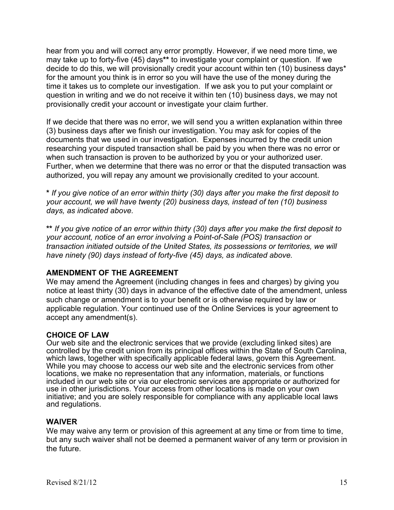hear from you and will correct any error promptly. However, if we need more time, we may take up to forty-five (45) days**\*\*** to investigate your complaint or question. If we decide to do this, we will provisionally credit your account within ten (10) business days\* for the amount you think is in error so you will have the use of the money during the time it takes us to complete our investigation. If we ask you to put your complaint or question in writing and we do not receive it within ten (10) business days, we may not provisionally credit your account or investigate your claim further.

If we decide that there was no error, we will send you a written explanation within three (3) business days after we finish our investigation. You may ask for copies of the documents that we used in our investigation. Expenses incurred by the credit union researching your disputed transaction shall be paid by you when there was no error or when such transaction is proven to be authorized by you or your authorized user. Further, when we determine that there was no error or that the disputed transaction was authorized, you will repay any amount we provisionally credited to your account.

**\*** *If you give notice of an error within thirty (30) days after you make the first deposit to your account, we will have twenty (20) business days, instead of ten (10) business days, as indicated above.*

**\*\*** *If you give notice of an error within thirty (30) days after you make the first deposit to your account, notice of an error involving a Point-of-Sale (POS) transaction or transaction initiated outside of the United States, its possessions or territories, we will have ninety (90) days instead of forty-five (45) days, as indicated above.*

# **AMENDMENT OF THE AGREEMENT**

We may amend the Agreement (including changes in fees and charges) by giving you notice at least thirty (30) days in advance of the effective date of the amendment, unless such change or amendment is to your benefit or is otherwise required by law or applicable regulation. Your continued use of the Online Services is your agreement to accept any amendment(s).

### **CHOICE OF LAW**

Our web site and the electronic services that we provide (excluding linked sites) are controlled by the credit union from its principal offices within the State of South Carolina, which laws, together with specifically applicable federal laws, govern this Agreement. While you may choose to access our web site and the electronic services from other locations, we make no representation that any information, materials, or functions included in our web site or via our electronic services are appropriate or authorized for use in other jurisdictions. Your access from other locations is made on your own initiative; and you are solely responsible for compliance with any applicable local laws and regulations.

#### **WAIVER**

We may waive any term or provision of this agreement at any time or from time to time, but any such waiver shall not be deemed a permanent waiver of any term or provision in the future.